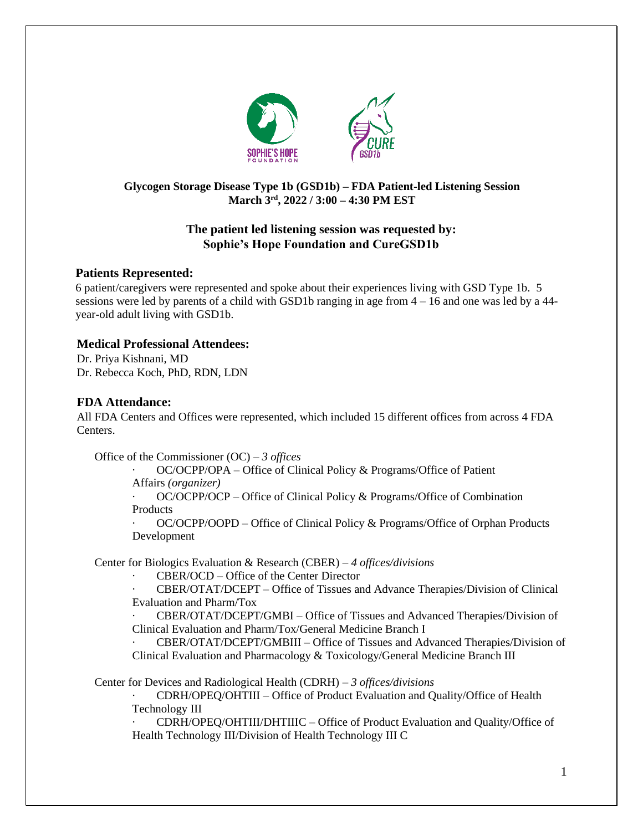

# **Glycogen Storage Disease Type 1b (GSD1b) – FDA Patient-led Listening Session March 3 rd, 2022 / 3:00 – 4:30 PM EST**

# **The patient led listening session was requested by: Sophie's Hope Foundation and CureGSD1b**

## **Patients Represented:**

6 patient/caregivers were represented and spoke about their experiences living with GSD Type 1b. 5 sessions were led by parents of a child with GSD1b ranging in age from 4 – 16 and one was led by a 44 year-old adult living with GSD1b.

## **Medical Professional Attendees:**

Dr. Priya Kishnani, MD Dr. Rebecca Koch, PhD, RDN, LDN

## **FDA Attendance:**

All FDA Centers and Offices were represented, which included 15 different offices from across 4 FDA Centers.

Office of the Commissioner (OC) – *3 offices*

· OC/OCPP/OPA – Office of Clinical Policy & Programs/Office of Patient Affairs *(organizer)*

· OC/OCPP/OCP – Office of Clinical Policy & Programs/Office of Combination Products

· OC/OCPP/OOPD – Office of Clinical Policy & Programs/Office of Orphan Products Development

Center for Biologics Evaluation & Research (CBER) – *4 offices/divisions*

· CBER/OCD – Office of the Center Director

· CBER/OTAT/DCEPT – Office of Tissues and Advance Therapies/Division of Clinical Evaluation and Pharm/Tox

· CBER/OTAT/DCEPT/GMBI – Office of Tissues and Advanced Therapies/Division of Clinical Evaluation and Pharm/Tox/General Medicine Branch I

· CBER/OTAT/DCEPT/GMBIII – Office of Tissues and Advanced Therapies/Division of Clinical Evaluation and Pharmacology & Toxicology/General Medicine Branch III

Center for Devices and Radiological Health (CDRH) – *3 offices/divisions*

· CDRH/OPEQ/OHTIII – Office of Product Evaluation and Quality/Office of Health Technology III

· CDRH/OPEQ/OHTIII/DHTIIIC – Office of Product Evaluation and Quality/Office of Health Technology III/Division of Health Technology III C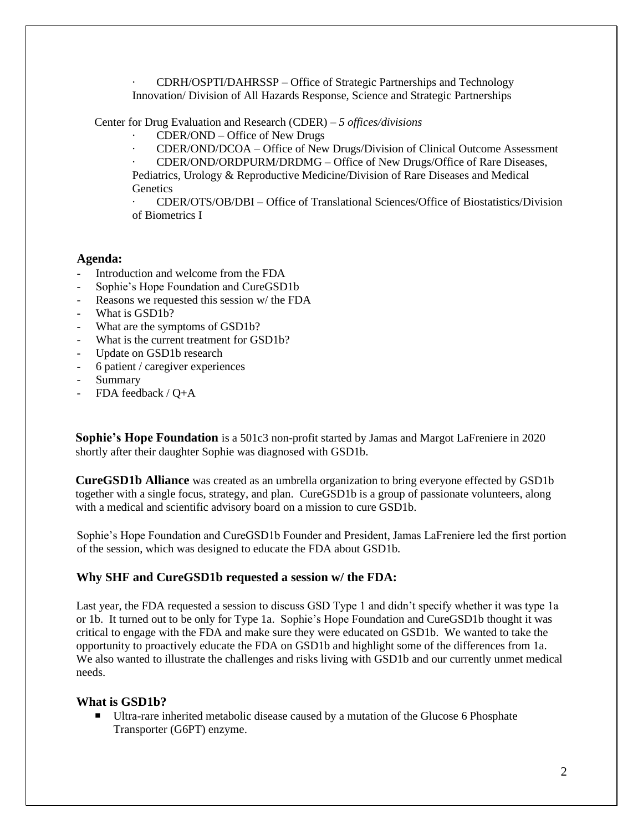· CDRH/OSPTI/DAHRSSP – Office of Strategic Partnerships and Technology Innovation/ Division of All Hazards Response, Science and Strategic Partnerships

Center for Drug Evaluation and Research (CDER) – *5 offices/divisions*

- · CDER/OND Office of New Drugs
- · CDER/OND/DCOA Office of New Drugs/Division of Clinical Outcome Assessment

· CDER/OND/ORDPURM/DRDMG – Office of New Drugs/Office of Rare Diseases, Pediatrics, Urology & Reproductive Medicine/Division of Rare Diseases and Medical **Genetics** 

· CDER/OTS/OB/DBI – Office of Translational Sciences/Office of Biostatistics/Division of Biometrics I

### **Agenda:**

- Introduction and welcome from the FDA
- Sophie's Hope Foundation and CureGSD1b
- Reasons we requested this session w/ the FDA
- What is GSD1b?
- What are the symptoms of GSD1b?
- What is the current treatment for GSD1b?
- Update on GSD1b research
- 6 patient / caregiver experiences
- Summary
- FDA feedback / Q+A

**Sophie's Hope Foundation** is a 501c3 non-profit started by Jamas and Margot LaFreniere in 2020 shortly after their daughter Sophie was diagnosed with GSD1b.

**CureGSD1b Alliance** was created as an umbrella organization to bring everyone effected by GSD1b together with a single focus, strategy, and plan. CureGSD1b is a group of passionate volunteers, along with a medical and scientific advisory board on a mission to cure GSD1b.

Sophie's Hope Foundation and CureGSD1b Founder and President, Jamas LaFreniere led the first portion of the session, which was designed to educate the FDA about GSD1b.

### **Why SHF and CureGSD1b requested a session w/ the FDA:**

Last year, the FDA requested a session to discuss GSD Type 1 and didn't specify whether it was type 1a or 1b. It turned out to be only for Type 1a. Sophie's Hope Foundation and CureGSD1b thought it was critical to engage with the FDA and make sure they were educated on GSD1b. We wanted to take the opportunity to proactively educate the FDA on GSD1b and highlight some of the differences from 1a. We also wanted to illustrate the challenges and risks living with GSD1b and our currently unmet medical needs.

### **What is GSD1b?**

■ Ultra-rare inherited metabolic disease caused by a mutation of the Glucose 6 Phosphate Transporter (G6PT) enzyme.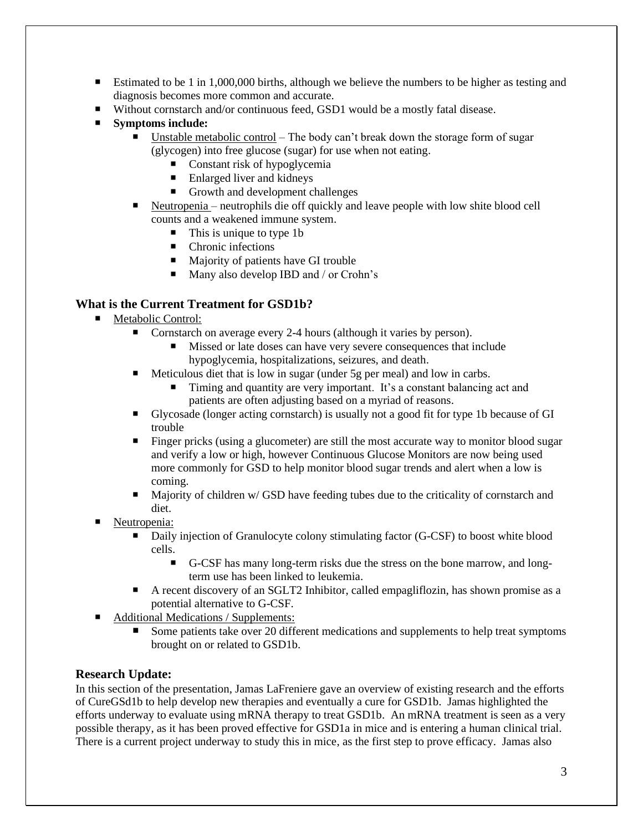- Estimated to be 1 in 1,000,000 births, although we believe the numbers to be higher as testing and diagnosis becomes more common and accurate.
- Without cornstarch and/or continuous feed, GSD1 would be a mostly fatal disease.
- **Symptoms include:**
	- Unstable metabolic control The body can't break down the storage form of sugar (glycogen) into free glucose (sugar) for use when not eating.
		- $\blacksquare$  Constant risk of hypoglycemia
		- $\blacksquare$  Enlarged liver and kidneys
		- Growth and development challenges
	- Neutropenia neutrophils die off quickly and leave people with low shite blood cell counts and a weakened immune system.
		- This is unique to type 1b
		- Chronic infections
		- Majority of patients have GI trouble
		- Many also develop IBD and / or Crohn's

# **What is the Current Treatment for GSD1b?**

- Metabolic Control:
	- Cornstarch on average every 2-4 hours (although it varies by person).
		- Missed or late doses can have very severe consequences that include hypoglycemia, hospitalizations, seizures, and death.
	- $\blacksquare$  Meticulous diet that is low in sugar (under 5g per meal) and low in carbs.
		- Timing and quantity are very important. It's a constant balancing act and patients are often adjusting based on a myriad of reasons.
	- Glycosade (longer acting cornstarch) is usually not a good fit for type 1b because of GI trouble
	- **Finger pricks (using a glucometer) are still the most accurate way to monitor blood sugar** and verify a low or high, however Continuous Glucose Monitors are now being used more commonly for GSD to help monitor blood sugar trends and alert when a low is coming.
	- Majority of children w/ GSD have feeding tubes due to the criticality of cornstarch and diet.
- Neutropenia:
	- Daily injection of Granulocyte colony stimulating factor (G-CSF) to boost white blood cells.
		- G-CSF has many long-term risks due the stress on the bone marrow, and longterm use has been linked to leukemia.
	- A recent discovery of an SGLT2 Inhibitor, called empagliflozin, has shown promise as a potential alternative to G-CSF.
- Additional Medications / Supplements:
	- Some patients take over 20 different medications and supplements to help treat symptoms brought on or related to GSD1b.

## **Research Update:**

In this section of the presentation, Jamas LaFreniere gave an overview of existing research and the efforts of CureGSd1b to help develop new therapies and eventually a cure for GSD1b. Jamas highlighted the efforts underway to evaluate using mRNA therapy to treat GSD1b. An mRNA treatment is seen as a very possible therapy, as it has been proved effective for GSD1a in mice and is entering a human clinical trial. There is a current project underway to study this in mice, as the first step to prove efficacy. Jamas also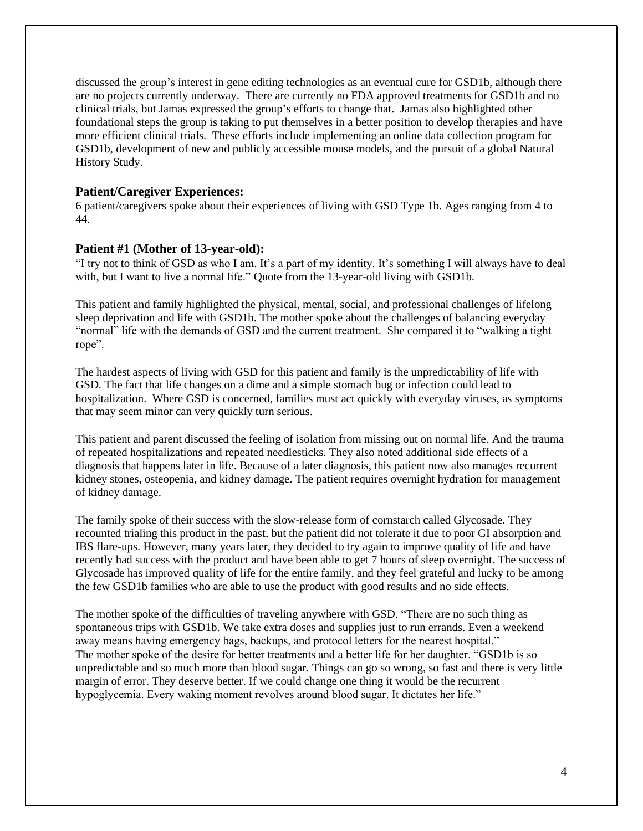discussed the group's interest in gene editing technologies as an eventual cure for GSD1b, although there are no projects currently underway. There are currently no FDA approved treatments for GSD1b and no clinical trials, but Jamas expressed the group's efforts to change that. Jamas also highlighted other foundational steps the group is taking to put themselves in a better position to develop therapies and have more efficient clinical trials. These efforts include implementing an online data collection program for GSD1b, development of new and publicly accessible mouse models, and the pursuit of a global Natural History Study.

#### **Patient/Caregiver Experiences:**

6 patient/caregivers spoke about their experiences of living with GSD Type 1b. Ages ranging from 4 to 44.

#### **Patient #1 (Mother of 13-year-old):**

"I try not to think of GSD as who I am. It's a part of my identity. It's something I will always have to deal with, but I want to live a normal life." Quote from the 13-year-old living with GSD1b.

This patient and family highlighted the physical, mental, social, and professional challenges of lifelong sleep deprivation and life with GSD1b. The mother spoke about the challenges of balancing everyday "normal" life with the demands of GSD and the current treatment. She compared it to "walking a tight rope".

The hardest aspects of living with GSD for this patient and family is the unpredictability of life with GSD. The fact that life changes on a dime and a simple stomach bug or infection could lead to hospitalization. Where GSD is concerned, families must act quickly with everyday viruses, as symptoms that may seem minor can very quickly turn serious.

This patient and parent discussed the feeling of isolation from missing out on normal life. And the trauma of repeated hospitalizations and repeated needlesticks. They also noted additional side effects of a diagnosis that happens later in life. Because of a later diagnosis, this patient now also manages recurrent kidney stones, osteopenia, and kidney damage. The patient requires overnight hydration for management of kidney damage.

The family spoke of their success with the slow-release form of cornstarch called Glycosade. They recounted trialing this product in the past, but the patient did not tolerate it due to poor GI absorption and IBS flare-ups. However, many years later, they decided to try again to improve quality of life and have recently had success with the product and have been able to get 7 hours of sleep overnight. The success of Glycosade has improved quality of life for the entire family, and they feel grateful and lucky to be among the few GSD1b families who are able to use the product with good results and no side effects.

The mother spoke of the difficulties of traveling anywhere with GSD. "There are no such thing as spontaneous trips with GSD1b. We take extra doses and supplies just to run errands. Even a weekend away means having emergency bags, backups, and protocol letters for the nearest hospital." The mother spoke of the desire for better treatments and a better life for her daughter. "GSD1b is so unpredictable and so much more than blood sugar. Things can go so wrong, so fast and there is very little margin of error. They deserve better. If we could change one thing it would be the recurrent hypoglycemia. Every waking moment revolves around blood sugar. It dictates her life."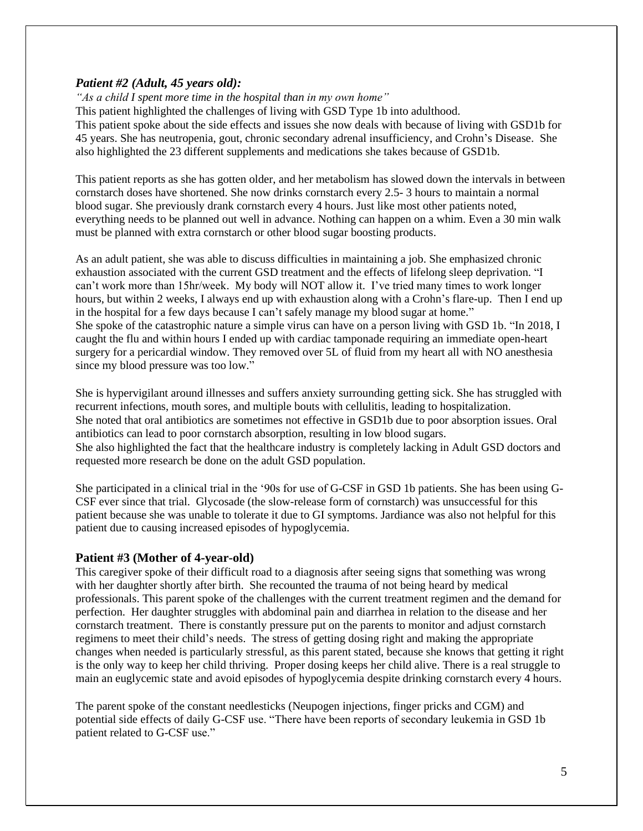## *Patient #2 (Adult, 45 years old):*

*"As a child I spent more time in the hospital than in my own home"*

This patient highlighted the challenges of living with GSD Type 1b into adulthood.

This patient spoke about the side effects and issues she now deals with because of living with GSD1b for 45 years. She has neutropenia, gout, chronic secondary adrenal insufficiency, and Crohn's Disease. She also highlighted the 23 different supplements and medications she takes because of GSD1b.

This patient reports as she has gotten older, and her metabolism has slowed down the intervals in between cornstarch doses have shortened. She now drinks cornstarch every 2.5- 3 hours to maintain a normal blood sugar. She previously drank cornstarch every 4 hours. Just like most other patients noted, everything needs to be planned out well in advance. Nothing can happen on a whim. Even a 30 min walk must be planned with extra cornstarch or other blood sugar boosting products.

As an adult patient, she was able to discuss difficulties in maintaining a job. She emphasized chronic exhaustion associated with the current GSD treatment and the effects of lifelong sleep deprivation. "I can't work more than 15hr/week. My body will NOT allow it. I've tried many times to work longer hours, but within 2 weeks, I always end up with exhaustion along with a Crohn's flare-up. Then I end up in the hospital for a few days because I can't safely manage my blood sugar at home." She spoke of the catastrophic nature a simple virus can have on a person living with GSD 1b. "In 2018, I caught the flu and within hours I ended up with cardiac tamponade requiring an immediate open-heart surgery for a pericardial window. They removed over 5L of fluid from my heart all with NO anesthesia since my blood pressure was too low."

She is hypervigilant around illnesses and suffers anxiety surrounding getting sick. She has struggled with recurrent infections, mouth sores, and multiple bouts with cellulitis, leading to hospitalization. She noted that oral antibiotics are sometimes not effective in GSD1b due to poor absorption issues. Oral antibiotics can lead to poor cornstarch absorption, resulting in low blood sugars. She also highlighted the fact that the healthcare industry is completely lacking in Adult GSD doctors and requested more research be done on the adult GSD population.

She participated in a clinical trial in the '90s for use of G-CSF in GSD 1b patients. She has been using G-CSF ever since that trial. Glycosade (the slow-release form of cornstarch) was unsuccessful for this patient because she was unable to tolerate it due to GI symptoms. Jardiance was also not helpful for this patient due to causing increased episodes of hypoglycemia.

### **Patient #3 (Mother of 4-year-old)**

This caregiver spoke of their difficult road to a diagnosis after seeing signs that something was wrong with her daughter shortly after birth. She recounted the trauma of not being heard by medical professionals. This parent spoke of the challenges with the current treatment regimen and the demand for perfection. Her daughter struggles with abdominal pain and diarrhea in relation to the disease and her cornstarch treatment. There is constantly pressure put on the parents to monitor and adjust cornstarch regimens to meet their child's needs. The stress of getting dosing right and making the appropriate changes when needed is particularly stressful, as this parent stated, because she knows that getting it right is the only way to keep her child thriving. Proper dosing keeps her child alive. There is a real struggle to main an euglycemic state and avoid episodes of hypoglycemia despite drinking cornstarch every 4 hours.

The parent spoke of the constant needlesticks (Neupogen injections, finger pricks and CGM) and potential side effects of daily G-CSF use. "There have been reports of secondary leukemia in GSD 1b patient related to G-CSF use."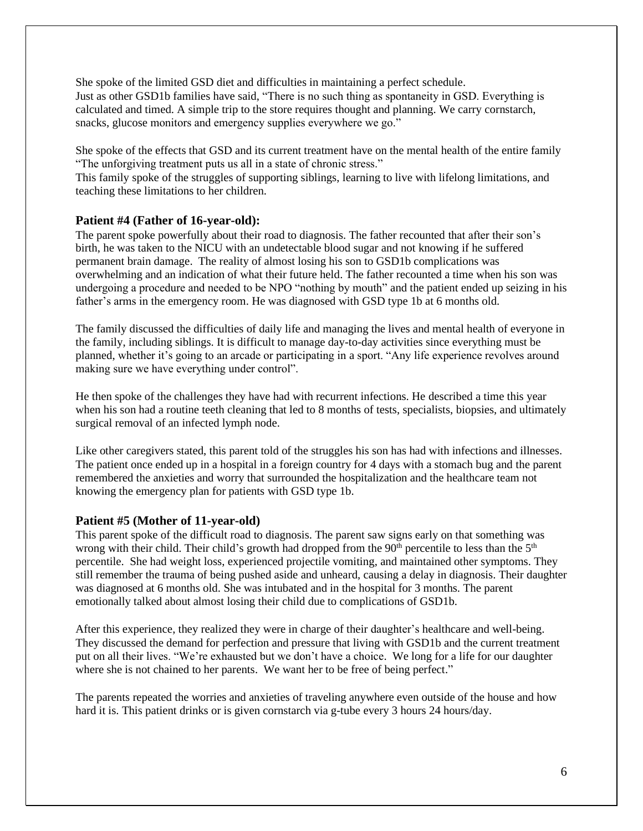She spoke of the limited GSD diet and difficulties in maintaining a perfect schedule. Just as other GSD1b families have said, "There is no such thing as spontaneity in GSD. Everything is calculated and timed. A simple trip to the store requires thought and planning. We carry cornstarch, snacks, glucose monitors and emergency supplies everywhere we go."

She spoke of the effects that GSD and its current treatment have on the mental health of the entire family "The unforgiving treatment puts us all in a state of chronic stress."

This family spoke of the struggles of supporting siblings, learning to live with lifelong limitations, and teaching these limitations to her children.

### **Patient #4 (Father of 16-year-old):**

The parent spoke powerfully about their road to diagnosis. The father recounted that after their son's birth, he was taken to the NICU with an undetectable blood sugar and not knowing if he suffered permanent brain damage. The reality of almost losing his son to GSD1b complications was overwhelming and an indication of what their future held. The father recounted a time when his son was undergoing a procedure and needed to be NPO "nothing by mouth" and the patient ended up seizing in his father's arms in the emergency room. He was diagnosed with GSD type 1b at 6 months old.

The family discussed the difficulties of daily life and managing the lives and mental health of everyone in the family, including siblings. It is difficult to manage day-to-day activities since everything must be planned, whether it's going to an arcade or participating in a sport. "Any life experience revolves around making sure we have everything under control".

He then spoke of the challenges they have had with recurrent infections. He described a time this year when his son had a routine teeth cleaning that led to 8 months of tests, specialists, biopsies, and ultimately surgical removal of an infected lymph node.

Like other caregivers stated, this parent told of the struggles his son has had with infections and illnesses. The patient once ended up in a hospital in a foreign country for 4 days with a stomach bug and the parent remembered the anxieties and worry that surrounded the hospitalization and the healthcare team not knowing the emergency plan for patients with GSD type 1b.

#### **Patient #5 (Mother of 11-year-old)**

This parent spoke of the difficult road to diagnosis. The parent saw signs early on that something was wrong with their child. Their child's growth had dropped from the 90<sup>th</sup> percentile to less than the 5<sup>th</sup> percentile. She had weight loss, experienced projectile vomiting, and maintained other symptoms. They still remember the trauma of being pushed aside and unheard, causing a delay in diagnosis. Their daughter was diagnosed at 6 months old. She was intubated and in the hospital for 3 months. The parent emotionally talked about almost losing their child due to complications of GSD1b.

After this experience, they realized they were in charge of their daughter's healthcare and well-being. They discussed the demand for perfection and pressure that living with GSD1b and the current treatment put on all their lives. "We're exhausted but we don't have a choice. We long for a life for our daughter where she is not chained to her parents. We want her to be free of being perfect."

The parents repeated the worries and anxieties of traveling anywhere even outside of the house and how hard it is. This patient drinks or is given cornstarch via g-tube every 3 hours 24 hours/day.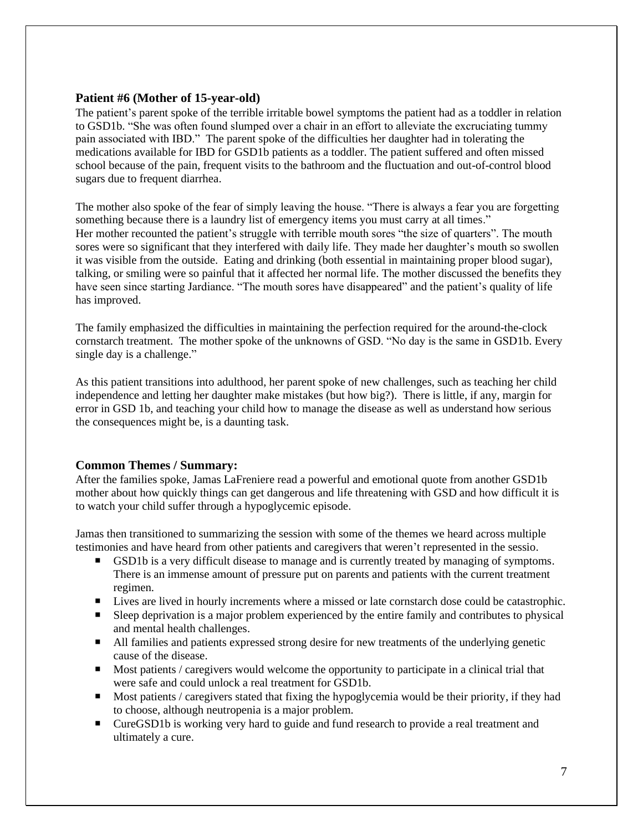## **Patient #6 (Mother of 15-year-old)**

The patient's parent spoke of the terrible irritable bowel symptoms the patient had as a toddler in relation to GSD1b. "She was often found slumped over a chair in an effort to alleviate the excruciating tummy pain associated with IBD." The parent spoke of the difficulties her daughter had in tolerating the medications available for IBD for GSD1b patients as a toddler. The patient suffered and often missed school because of the pain, frequent visits to the bathroom and the fluctuation and out-of-control blood sugars due to frequent diarrhea.

The mother also spoke of the fear of simply leaving the house. "There is always a fear you are forgetting something because there is a laundry list of emergency items you must carry at all times." Her mother recounted the patient's struggle with terrible mouth sores "the size of quarters". The mouth sores were so significant that they interfered with daily life. They made her daughter's mouth so swollen it was visible from the outside. Eating and drinking (both essential in maintaining proper blood sugar), talking, or smiling were so painful that it affected her normal life. The mother discussed the benefits they have seen since starting Jardiance. "The mouth sores have disappeared" and the patient's quality of life has improved.

The family emphasized the difficulties in maintaining the perfection required for the around-the-clock cornstarch treatment. The mother spoke of the unknowns of GSD. "No day is the same in GSD1b. Every single day is a challenge."

As this patient transitions into adulthood, her parent spoke of new challenges, such as teaching her child independence and letting her daughter make mistakes (but how big?). There is little, if any, margin for error in GSD 1b, and teaching your child how to manage the disease as well as understand how serious the consequences might be, is a daunting task.

### **Common Themes / Summary:**

After the families spoke, Jamas LaFreniere read a powerful and emotional quote from another GSD1b mother about how quickly things can get dangerous and life threatening with GSD and how difficult it is to watch your child suffer through a hypoglycemic episode.

Jamas then transitioned to summarizing the session with some of the themes we heard across multiple testimonies and have heard from other patients and caregivers that weren't represented in the sessio.

- GSD1b is a very difficult disease to manage and is currently treated by managing of symptoms. There is an immense amount of pressure put on parents and patients with the current treatment regimen.
- Lives are lived in hourly increments where a missed or late cornstarch dose could be catastrophic.
- Sleep deprivation is a major problem experienced by the entire family and contributes to physical and mental health challenges.
- All families and patients expressed strong desire for new treatments of the underlying genetic cause of the disease.
- **Most patients / caregivers would welcome the opportunity to participate in a clinical trial that** were safe and could unlock a real treatment for GSD1b.
- Most patients / caregivers stated that fixing the hypoglycemia would be their priority, if they had to choose, although neutropenia is a major problem.
- CureGSD1b is working very hard to guide and fund research to provide a real treatment and ultimately a cure.